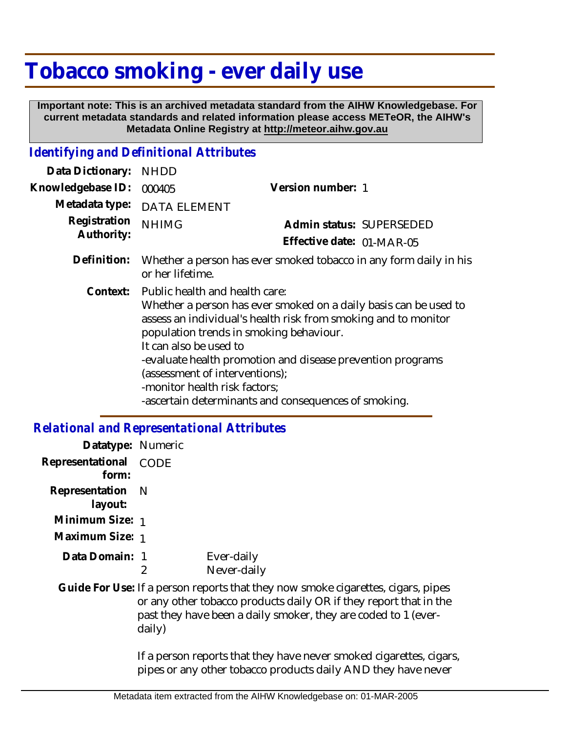## **Tobacco smoking - ever daily use**

 **Important note: This is an archived metadata standard from the AIHW Knowledgebase. For current metadata standards and related information please access METeOR, the AIHW's Metadata Online Registry at http://meteor.aihw.gov.au**

## *Identifying and Definitional Attributes*

| Data Dictionary:           | <b>NHDD</b>                                                                                                                                                                                                                                                                                                                                                                                                                        |                           |
|----------------------------|------------------------------------------------------------------------------------------------------------------------------------------------------------------------------------------------------------------------------------------------------------------------------------------------------------------------------------------------------------------------------------------------------------------------------------|---------------------------|
| Knowledgebase ID:          | 000405                                                                                                                                                                                                                                                                                                                                                                                                                             | Version number: 1         |
| Metadata type:             | <b>DATA ELEMENT</b>                                                                                                                                                                                                                                                                                                                                                                                                                |                           |
| Registration<br>Authority: | <b>NHIMG</b>                                                                                                                                                                                                                                                                                                                                                                                                                       | Admin status: SUPERSEDED  |
|                            |                                                                                                                                                                                                                                                                                                                                                                                                                                    | Effective date: 01-MAR-05 |
| Definition:                | Whether a person has ever smoked tobacco in any form daily in his<br>or her lifetime.                                                                                                                                                                                                                                                                                                                                              |                           |
| Context:                   | Public health and health care:<br>Whether a person has ever smoked on a daily basis can be used to<br>assess an individual's health risk from smoking and to monitor<br>population trends in smoking behaviour.<br>It can also be used to<br>-evaluate health promotion and disease prevention programs<br>(assessment of interventions);<br>-monitor health risk factors;<br>-ascertain determinants and consequences of smoking. |                           |

## *Relational and Representational Attributes*

| Datatype: Numeric<br>Representational CODE<br>form:<br>Representation N<br>layout:<br>Minimum Size: 1<br>Maximum Size: 1<br>Data Domain: 1<br>Ever-daily<br>2<br>Never-daily<br>Guide For Use: If a person reports that they now smoke cigarettes, cigars, pipes<br>or any other tobacco products daily OR if they report that in the<br>past they have been a daily smoker, they are coded to 1 (ever-<br>daily)<br>If a person reports that they have never smoked cigarettes, cigars,<br>pipes or any other tobacco products daily AND they have never |  |  |
|-----------------------------------------------------------------------------------------------------------------------------------------------------------------------------------------------------------------------------------------------------------------------------------------------------------------------------------------------------------------------------------------------------------------------------------------------------------------------------------------------------------------------------------------------------------|--|--|
|                                                                                                                                                                                                                                                                                                                                                                                                                                                                                                                                                           |  |  |
|                                                                                                                                                                                                                                                                                                                                                                                                                                                                                                                                                           |  |  |
|                                                                                                                                                                                                                                                                                                                                                                                                                                                                                                                                                           |  |  |
|                                                                                                                                                                                                                                                                                                                                                                                                                                                                                                                                                           |  |  |
|                                                                                                                                                                                                                                                                                                                                                                                                                                                                                                                                                           |  |  |
|                                                                                                                                                                                                                                                                                                                                                                                                                                                                                                                                                           |  |  |
|                                                                                                                                                                                                                                                                                                                                                                                                                                                                                                                                                           |  |  |
|                                                                                                                                                                                                                                                                                                                                                                                                                                                                                                                                                           |  |  |